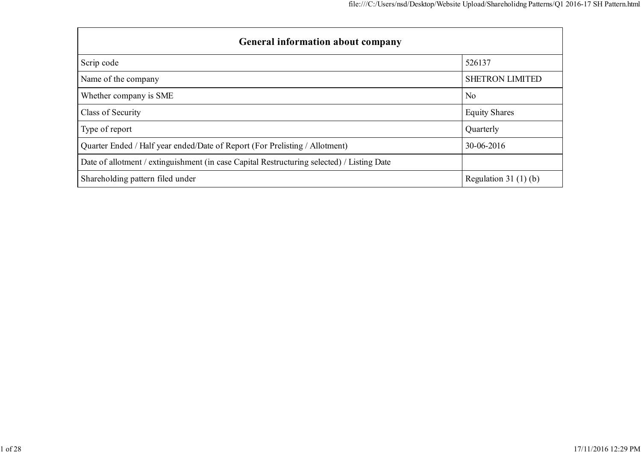| <b>General information about company</b>                                                   |                        |  |  |  |  |  |  |  |
|--------------------------------------------------------------------------------------------|------------------------|--|--|--|--|--|--|--|
| Scrip code                                                                                 | 526137                 |  |  |  |  |  |  |  |
| Name of the company                                                                        | <b>SHETRON LIMITED</b> |  |  |  |  |  |  |  |
| Whether company is SME                                                                     | No                     |  |  |  |  |  |  |  |
| Class of Security                                                                          | <b>Equity Shares</b>   |  |  |  |  |  |  |  |
| Type of report                                                                             | Quarterly              |  |  |  |  |  |  |  |
| Quarter Ended / Half year ended/Date of Report (For Prelisting / Allotment)                | 30-06-2016             |  |  |  |  |  |  |  |
| Date of allotment / extinguishment (in case Capital Restructuring selected) / Listing Date |                        |  |  |  |  |  |  |  |
| Shareholding pattern filed under                                                           | Regulation 31 $(1)(b)$ |  |  |  |  |  |  |  |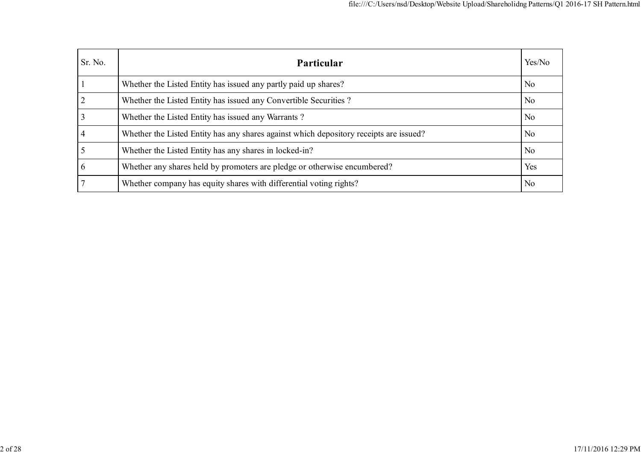| Sr. No. | Particular                                                                             | Yes/No         |
|---------|----------------------------------------------------------------------------------------|----------------|
|         | Whether the Listed Entity has issued any partly paid up shares?                        | N <sub>0</sub> |
|         | Whether the Listed Entity has issued any Convertible Securities?                       | N <sub>o</sub> |
|         | Whether the Listed Entity has issued any Warrants?                                     | N <sub>0</sub> |
|         | Whether the Listed Entity has any shares against which depository receipts are issued? | N <sub>0</sub> |
|         | Whether the Listed Entity has any shares in locked-in?                                 | N <sub>o</sub> |
|         | Whether any shares held by promoters are pledge or otherwise encumbered?               | Yes            |
|         | Whether company has equity shares with differential voting rights?                     | N <sub>0</sub> |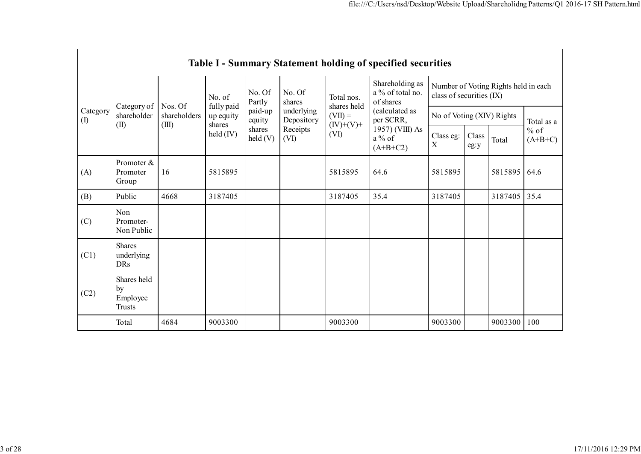|                 | <b>Table I - Summary Statement holding of specified securities</b> |                         |                                   |                            |                          |                           |                                                                          |                                                                  |               |         |                     |  |  |  |
|-----------------|--------------------------------------------------------------------|-------------------------|-----------------------------------|----------------------------|--------------------------|---------------------------|--------------------------------------------------------------------------|------------------------------------------------------------------|---------------|---------|---------------------|--|--|--|
|                 |                                                                    |                         | No. of                            | No. Of<br>Partly           | No. Of<br>shares         | Total nos.<br>shares held | Shareholding as<br>a % of total no.<br>of shares                         | Number of Voting Rights held in each<br>class of securities (IX) |               |         |                     |  |  |  |
| Category<br>(1) | Category of<br>shareholder                                         | Nos. Of<br>shareholders | fully paid<br>up equity<br>shares | paid-up<br>equity          | underlying<br>Depository | $(VII) =$<br>$(IV)+(V)+$  | (calculated as<br>per SCRR,<br>1957) (VIII) As<br>$a\%$ of<br>$(A+B+C2)$ | No of Voting (XIV) Rights                                        |               |         | Total as a          |  |  |  |
|                 | (II)                                                               | (III)                   | $\text{held (IV)}$                | shares<br>$\text{held}(V)$ | Receipts<br>(VI)         | (VI)                      |                                                                          | Class eg:<br>X                                                   | Class<br>eg:y | Total   | $%$ of<br>$(A+B+C)$ |  |  |  |
| (A)             | Promoter $\&$<br>Promoter<br>Group                                 | 16                      | 5815895                           |                            |                          | 5815895                   | 64.6                                                                     | 5815895                                                          |               | 5815895 | 64.6                |  |  |  |
| (B)             | Public                                                             | 4668                    | 3187405                           |                            |                          | 3187405                   | 35.4                                                                     | 3187405                                                          |               | 3187405 | 35.4                |  |  |  |
| (C)             | Non<br>Promoter-<br>Non Public                                     |                         |                                   |                            |                          |                           |                                                                          |                                                                  |               |         |                     |  |  |  |
| (C1)            | <b>Shares</b><br>underlying<br><b>DRs</b>                          |                         |                                   |                            |                          |                           |                                                                          |                                                                  |               |         |                     |  |  |  |
| (C2)            | Shares held<br>by<br>Employee<br><b>Trusts</b>                     |                         |                                   |                            |                          |                           |                                                                          |                                                                  |               |         |                     |  |  |  |
|                 | Total                                                              | 4684                    | 9003300                           |                            |                          | 9003300                   |                                                                          | 9003300                                                          |               | 9003300 | 100                 |  |  |  |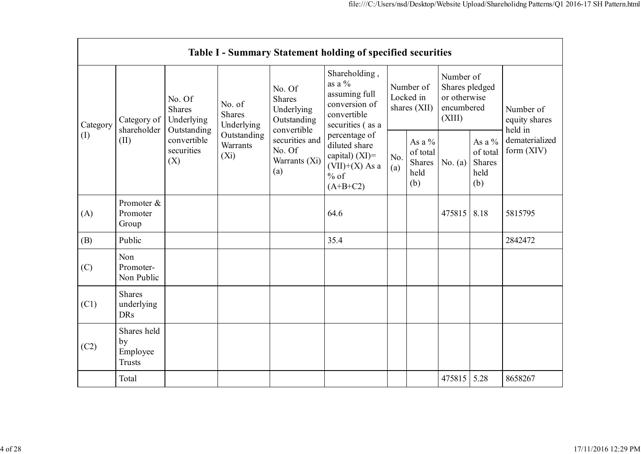|                 | Table I - Summary Statement holding of specified securities |                                                                                          |                                                                             |                                                                                                                  |                                                                                                 |                                        |                                               |                                                                     |                                                      |                                       |  |  |  |
|-----------------|-------------------------------------------------------------|------------------------------------------------------------------------------------------|-----------------------------------------------------------------------------|------------------------------------------------------------------------------------------------------------------|-------------------------------------------------------------------------------------------------|----------------------------------------|-----------------------------------------------|---------------------------------------------------------------------|------------------------------------------------------|---------------------------------------|--|--|--|
| Category<br>(1) | Category of<br>shareholder<br>(II)                          | No. Of<br><b>Shares</b><br>Underlying<br>Outstanding<br>convertible<br>securities<br>(X) | No. of<br><b>Shares</b><br>Underlying<br>Outstanding<br>Warrants<br>$(X_i)$ | No. Of<br>Shares<br>Underlying<br>Outstanding<br>convertible<br>securities and<br>No. Of<br>Warrants (Xi)<br>(a) | Shareholding,<br>as a $\%$<br>assuming full<br>conversion of<br>convertible<br>securities (as a | Number of<br>Locked in<br>shares (XII) |                                               | Number of<br>Shares pledged<br>or otherwise<br>encumbered<br>(XIII) |                                                      | Number of<br>equity shares<br>held in |  |  |  |
|                 |                                                             |                                                                                          |                                                                             |                                                                                                                  | percentage of<br>diluted share<br>capital) $(XI)$ =<br>$(VII)+(X)$ As a<br>$%$ of<br>$(A+B+C2)$ | No.<br>(a)                             | As a $%$<br>of total<br>Shares<br>held<br>(b) | No. $(a)$                                                           | As a $%$<br>of total<br><b>Shares</b><br>held<br>(b) | dematerialized<br>form $(XIV)$        |  |  |  |
| (A)             | Promoter &<br>Promoter<br>Group                             |                                                                                          |                                                                             |                                                                                                                  | 64.6                                                                                            |                                        |                                               | 475815                                                              | 8.18                                                 | 5815795                               |  |  |  |
| (B)             | Public                                                      |                                                                                          |                                                                             |                                                                                                                  | 35.4                                                                                            |                                        |                                               |                                                                     |                                                      | 2842472                               |  |  |  |
| (C)             | Non<br>Promoter-<br>Non Public                              |                                                                                          |                                                                             |                                                                                                                  |                                                                                                 |                                        |                                               |                                                                     |                                                      |                                       |  |  |  |
| (C1)            | <b>Shares</b><br>underlying<br><b>DRs</b>                   |                                                                                          |                                                                             |                                                                                                                  |                                                                                                 |                                        |                                               |                                                                     |                                                      |                                       |  |  |  |
| (C2)            | Shares held<br>by<br>Employee<br><b>Trusts</b>              |                                                                                          |                                                                             |                                                                                                                  |                                                                                                 |                                        |                                               |                                                                     |                                                      |                                       |  |  |  |
|                 | Total                                                       |                                                                                          |                                                                             |                                                                                                                  |                                                                                                 |                                        |                                               | 475815                                                              | 5.28                                                 | 8658267                               |  |  |  |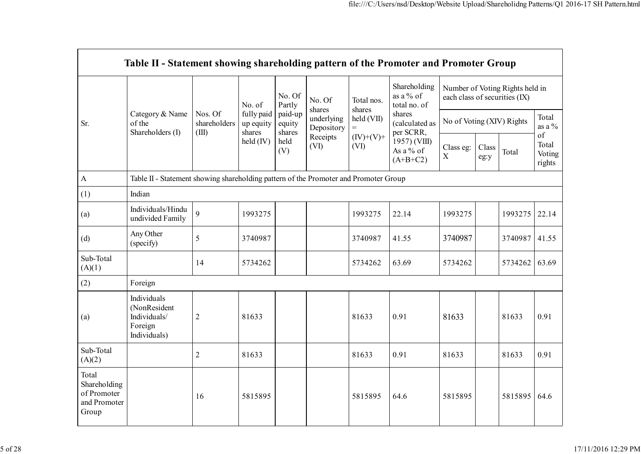|                                                               | Table II - Statement showing shareholding pattern of the Promoter and Promoter Group |                                  |                                   |                             |                          |                      |                                                                                  |                                                                  |               |         |                                 |
|---------------------------------------------------------------|--------------------------------------------------------------------------------------|----------------------------------|-----------------------------------|-----------------------------|--------------------------|----------------------|----------------------------------------------------------------------------------|------------------------------------------------------------------|---------------|---------|---------------------------------|
|                                                               |                                                                                      |                                  | No. of                            | No. Of<br>Partly            | No. Of<br>shares         | Total nos.<br>shares | Shareholding<br>as a % of<br>total no. of                                        | Number of Voting Rights held in<br>each class of securities (IX) |               |         |                                 |
| Sr.                                                           | Category & Name<br>of the<br>Shareholders (I)                                        | Nos. Of<br>shareholders<br>(III) | fully paid<br>up equity<br>shares | paid-up<br>equity<br>shares | underlying<br>Depository | held (VII)           | shares<br>(calculated as<br>per SCRR,<br>1957) (VIII)<br>As a % of<br>$(A+B+C2)$ | No of Voting (XIV) Rights                                        |               |         | Total<br>as a $\%$              |
|                                                               |                                                                                      |                                  | $\text{held (IV)}$                | held<br>(V)                 | Receipts<br>(VI)         | $(IV)+(V)+$<br>(VI)  |                                                                                  | Class eg:<br>$\mathbf X$                                         | Class<br>eg:y | Total   | of<br>Total<br>Voting<br>rights |
| $\boldsymbol{\mathsf{A}}$                                     | Table II - Statement showing shareholding pattern of the Promoter and Promoter Group |                                  |                                   |                             |                          |                      |                                                                                  |                                                                  |               |         |                                 |
| (1)                                                           | Indian                                                                               |                                  |                                   |                             |                          |                      |                                                                                  |                                                                  |               |         |                                 |
| (a)                                                           | Individuals/Hindu<br>undivided Family                                                | 9                                | 1993275                           |                             |                          | 1993275              | 22.14                                                                            | 1993275                                                          |               | 1993275 | 22.14                           |
| (d)                                                           | Any Other<br>(specify)                                                               | 5                                | 3740987                           |                             |                          | 3740987              | 41.55                                                                            | 3740987                                                          |               | 3740987 | 41.55                           |
| Sub-Total<br>(A)(1)                                           |                                                                                      | 14                               | 5734262                           |                             |                          | 5734262              | 63.69                                                                            | 5734262                                                          |               | 5734262 | 63.69                           |
| (2)                                                           | Foreign                                                                              |                                  |                                   |                             |                          |                      |                                                                                  |                                                                  |               |         |                                 |
| (a)                                                           | Individuals<br>(NonResident<br>Individuals/<br>Foreign<br>Individuals)               | $\overline{c}$                   | 81633                             |                             |                          | 81633                | 0.91                                                                             | 81633                                                            |               | 81633   | 0.91                            |
| Sub-Total<br>(A)(2)                                           |                                                                                      | $\overline{2}$                   | 81633                             |                             |                          | 81633                | 0.91                                                                             | 81633                                                            |               | 81633   | 0.91                            |
| Total<br>Shareholding<br>of Promoter<br>and Promoter<br>Group |                                                                                      | 16                               | 5815895                           |                             |                          | 5815895              | 64.6                                                                             | 5815895                                                          |               | 5815895 | 64.6                            |

 $\overline{a}$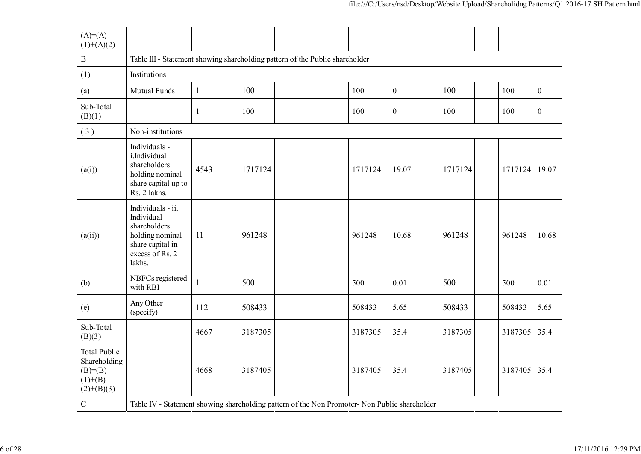| $(A)= (A)$<br>$(1)+(A)(2)$                                                     |                                                                                                                     |              |         |  |         |                  |         |         |                  |
|--------------------------------------------------------------------------------|---------------------------------------------------------------------------------------------------------------------|--------------|---------|--|---------|------------------|---------|---------|------------------|
| $\, {\bf B}$                                                                   | Table III - Statement showing shareholding pattern of the Public shareholder                                        |              |         |  |         |                  |         |         |                  |
| (1)                                                                            | Institutions                                                                                                        |              |         |  |         |                  |         |         |                  |
| (a)                                                                            | Mutual Funds                                                                                                        | $\mathbf{1}$ | 100     |  | 100     | $\boldsymbol{0}$ | 100     | 100     | $\boldsymbol{0}$ |
| Sub-Total<br>(B)(1)                                                            |                                                                                                                     | 1            | 100     |  | 100     | $\boldsymbol{0}$ | 100     | 100     | $\boldsymbol{0}$ |
| (3)                                                                            | Non-institutions                                                                                                    |              |         |  |         |                  |         |         |                  |
| (a(i))                                                                         | Individuals -<br>i.Individual<br>shareholders<br>holding nominal<br>share capital up to<br>Rs. 2 lakhs.             | 4543         | 1717124 |  | 1717124 | 19.07            | 1717124 | 1717124 | 19.07            |
| (a(ii))                                                                        | Individuals - ii.<br>Individual<br>shareholders<br>holding nominal<br>share capital in<br>excess of Rs. 2<br>lakhs. | 11           | 961248  |  | 961248  | 10.68            | 961248  | 961248  | 10.68            |
| (b)                                                                            | NBFCs registered<br>with RBI                                                                                        | $\mathbf{1}$ | 500     |  | 500     | 0.01             | 500     | 500     | 0.01             |
| (e)                                                                            | Any Other<br>(specify)                                                                                              | 112          | 508433  |  | 508433  | 5.65             | 508433  | 508433  | 5.65             |
| Sub-Total<br>(B)(3)                                                            |                                                                                                                     | 4667         | 3187305 |  | 3187305 | 35.4             | 3187305 | 3187305 | 35.4             |
| <b>Total Public</b><br>Shareholding<br>$(B)= (B)$<br>$(1)+(B)$<br>$(2)+(B)(3)$ |                                                                                                                     | 4668         | 3187405 |  | 3187405 | 35.4             | 3187405 | 3187405 | 35.4             |
| $\mathbf C$                                                                    | Table IV - Statement showing shareholding pattern of the Non Promoter- Non Public shareholder                       |              |         |  |         |                  |         |         |                  |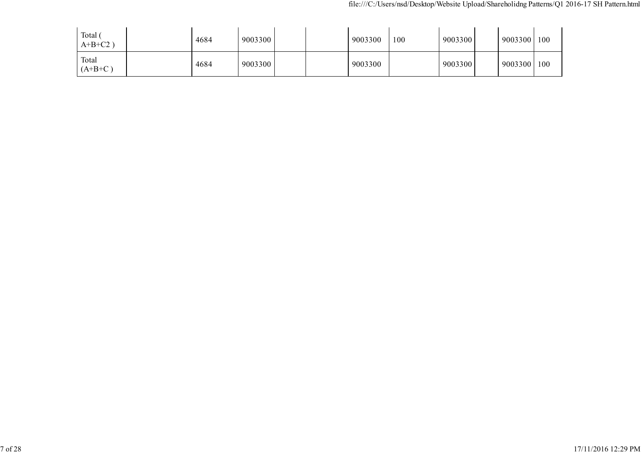| Total (<br>$A+B+C2$ | 4684 | 9003300 |  | 9003300 | 100 | 9003300 | 9003300 | 100 |
|---------------------|------|---------|--|---------|-----|---------|---------|-----|
| Total<br>$(A+B+C)$  | 4684 | 9003300 |  | 9003300 |     | 9003300 | 9003300 | 100 |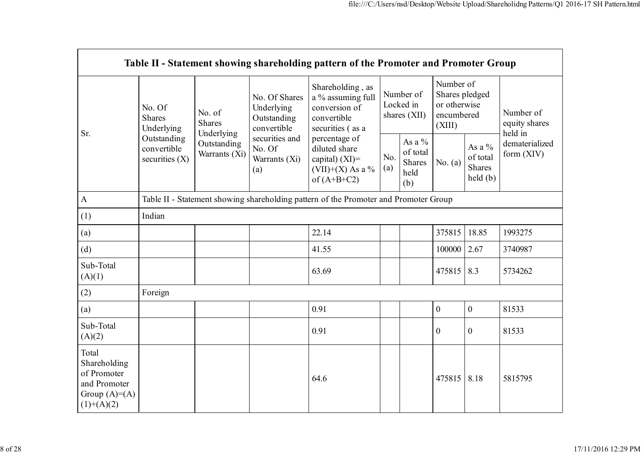|                                                                                        |                                                |                                                                |                                                                                                               | Table II - Statement showing shareholding pattern of the Promoter and Promoter Group      |                                        |                                                      |                                                                     |                                                   |                                       |
|----------------------------------------------------------------------------------------|------------------------------------------------|----------------------------------------------------------------|---------------------------------------------------------------------------------------------------------------|-------------------------------------------------------------------------------------------|----------------------------------------|------------------------------------------------------|---------------------------------------------------------------------|---------------------------------------------------|---------------------------------------|
| Sr.                                                                                    | No. Of<br><b>Shares</b><br>Underlying          | No. of<br>Shares<br>Underlying<br>Outstanding<br>Warrants (Xi) | No. Of Shares<br>Underlying<br>Outstanding<br>convertible<br>securities and<br>No. Of<br>Warrants (Xi)<br>(a) | Shareholding, as<br>a % assuming full<br>conversion of<br>convertible<br>securities (as a | Number of<br>Locked in<br>shares (XII) |                                                      | Number of<br>Shares pledged<br>or otherwise<br>encumbered<br>(XIII) |                                                   | Number of<br>equity shares<br>held in |
| $\mathbf{A}$                                                                           | Outstanding<br>convertible<br>securities $(X)$ |                                                                |                                                                                                               | percentage of<br>diluted share<br>capital) $(XI)$ =<br>(VII)+(X) As a %<br>of $(A+B+C2)$  | No.<br>(a)                             | As a $%$<br>of total<br><b>Shares</b><br>held<br>(b) | No. $(a)$                                                           | As a $\%$<br>of total<br><b>Shares</b><br>held(b) | dematerialized<br>form $(XIV)$        |
|                                                                                        |                                                |                                                                |                                                                                                               | Table II - Statement showing shareholding pattern of the Promoter and Promoter Group      |                                        |                                                      |                                                                     |                                                   |                                       |
| (1)                                                                                    | Indian                                         |                                                                |                                                                                                               |                                                                                           |                                        |                                                      |                                                                     |                                                   |                                       |
| (a)                                                                                    |                                                |                                                                |                                                                                                               | 22.14                                                                                     |                                        |                                                      | 375815                                                              | 18.85                                             | 1993275                               |
| (d)                                                                                    |                                                |                                                                |                                                                                                               | 41.55                                                                                     |                                        |                                                      | 100000                                                              | 2.67                                              | 3740987                               |
| Sub-Total<br>(A)(1)                                                                    |                                                |                                                                |                                                                                                               | 63.69                                                                                     |                                        |                                                      | 475815                                                              | 8.3                                               | 5734262                               |
| (2)                                                                                    | Foreign                                        |                                                                |                                                                                                               |                                                                                           |                                        |                                                      |                                                                     |                                                   |                                       |
| (a)                                                                                    |                                                |                                                                |                                                                                                               | 0.91                                                                                      |                                        |                                                      | $\boldsymbol{0}$                                                    | $\overline{0}$                                    | 81533                                 |
| Sub-Total<br>(A)(2)                                                                    |                                                |                                                                |                                                                                                               | 0.91                                                                                      |                                        |                                                      | $\mathbf{0}$                                                        | $\overline{0}$                                    | 81533                                 |
| Total<br>Shareholding<br>of Promoter<br>and Promoter<br>Group $(A)=A)$<br>$(1)+(A)(2)$ |                                                |                                                                |                                                                                                               | 64.6                                                                                      |                                        |                                                      | 475815                                                              | 8.18                                              | 5815795                               |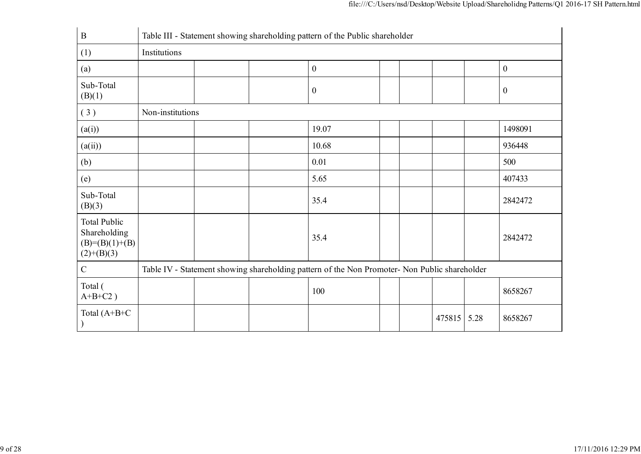| $\bf{B}$                                                                | Table III - Statement showing shareholding pattern of the Public shareholder |  |  |                                                                                               |  |  |        |      |                  |  |  |
|-------------------------------------------------------------------------|------------------------------------------------------------------------------|--|--|-----------------------------------------------------------------------------------------------|--|--|--------|------|------------------|--|--|
| (1)                                                                     | Institutions                                                                 |  |  |                                                                                               |  |  |        |      |                  |  |  |
| (a)                                                                     |                                                                              |  |  | $\boldsymbol{0}$                                                                              |  |  |        |      | $\boldsymbol{0}$ |  |  |
| Sub-Total<br>(B)(1)                                                     |                                                                              |  |  | $\boldsymbol{0}$                                                                              |  |  |        |      | $\boldsymbol{0}$ |  |  |
| (3)                                                                     | Non-institutions                                                             |  |  |                                                                                               |  |  |        |      |                  |  |  |
| (a(i))                                                                  |                                                                              |  |  | 19.07                                                                                         |  |  |        |      | 1498091          |  |  |
| (a(ii))                                                                 |                                                                              |  |  | 10.68                                                                                         |  |  |        |      | 936448           |  |  |
| (b)                                                                     |                                                                              |  |  | 0.01                                                                                          |  |  |        |      | 500              |  |  |
| (e)                                                                     |                                                                              |  |  | 5.65                                                                                          |  |  |        |      | 407433           |  |  |
| Sub-Total<br>(B)(3)                                                     |                                                                              |  |  | 35.4                                                                                          |  |  |        |      | 2842472          |  |  |
| <b>Total Public</b><br>Shareholding<br>$(B)=(B)(1)+(B)$<br>$(2)+(B)(3)$ |                                                                              |  |  | 35.4                                                                                          |  |  |        |      | 2842472          |  |  |
| $\mathcal{C}$                                                           |                                                                              |  |  | Table IV - Statement showing shareholding pattern of the Non Promoter- Non Public shareholder |  |  |        |      |                  |  |  |
| Total (<br>$A+B+C2$ )                                                   |                                                                              |  |  | 100                                                                                           |  |  |        |      | 8658267          |  |  |
| Total $(A+B+C)$                                                         |                                                                              |  |  |                                                                                               |  |  | 475815 | 5.28 | 8658267          |  |  |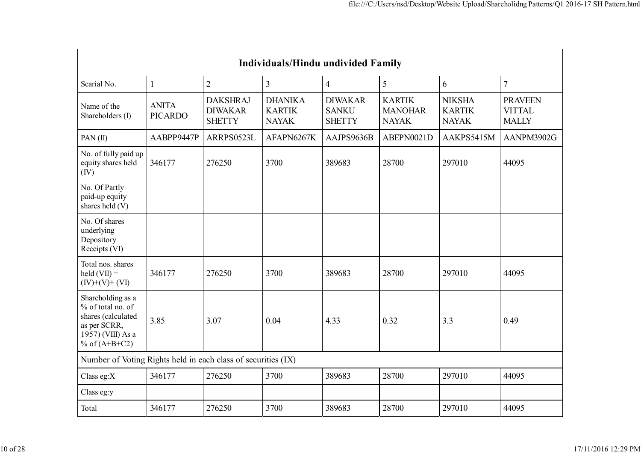| <b>Individuals/Hindu undivided Family</b>                                                                            |                                |                                                    |                                                 |                                                 |                                                 |                                                |                                                 |  |  |  |  |  |
|----------------------------------------------------------------------------------------------------------------------|--------------------------------|----------------------------------------------------|-------------------------------------------------|-------------------------------------------------|-------------------------------------------------|------------------------------------------------|-------------------------------------------------|--|--|--|--|--|
| Searial No.                                                                                                          | $\mathbf{1}$                   | $\overline{2}$                                     | $\overline{3}$                                  | $\overline{4}$                                  | 5                                               | 6                                              | $\overline{7}$                                  |  |  |  |  |  |
| Name of the<br>Shareholders (I)                                                                                      | <b>ANITA</b><br><b>PICARDO</b> | <b>DAKSHRAJ</b><br><b>DIWAKAR</b><br><b>SHETTY</b> | <b>DHANIKA</b><br><b>KARTIK</b><br><b>NAYAK</b> | <b>DIWAKAR</b><br><b>SANKU</b><br><b>SHETTY</b> | <b>KARTIK</b><br><b>MANOHAR</b><br><b>NAYAK</b> | <b>NIKSHA</b><br><b>KARTIK</b><br><b>NAYAK</b> | <b>PRAVEEN</b><br><b>VITTAL</b><br><b>MALLY</b> |  |  |  |  |  |
| PAN(II)                                                                                                              | AABPP9447P                     | ARRPS0523L                                         | AFAPN6267K                                      | AAJPS9636B                                      | ABEPN0021D                                      | AAKPS5415M                                     | AANPM3902G                                      |  |  |  |  |  |
| No. of fully paid up<br>equity shares held<br>(IV)                                                                   | 346177                         | 276250                                             | 3700                                            | 389683                                          | 28700                                           | 297010                                         | 44095                                           |  |  |  |  |  |
| No. Of Partly<br>paid-up equity<br>shares held (V)                                                                   |                                |                                                    |                                                 |                                                 |                                                 |                                                |                                                 |  |  |  |  |  |
| No. Of shares<br>underlying<br>Depository<br>Receipts (VI)                                                           |                                |                                                    |                                                 |                                                 |                                                 |                                                |                                                 |  |  |  |  |  |
| Total nos. shares<br>$\text{held}(\text{VII}) =$<br>$(IV)+(V)+(VI)$                                                  | 346177                         | 276250                                             | 3700                                            | 389683                                          | 28700                                           | 297010                                         | 44095                                           |  |  |  |  |  |
| Shareholding as a<br>% of total no. of<br>shares (calculated<br>as per SCRR,<br>1957) (VIII) As a<br>% of $(A+B+C2)$ | 3.85                           | 3.07                                               | 0.04                                            | 4.33                                            | 0.32                                            | 3.3                                            | 0.49                                            |  |  |  |  |  |
| Number of Voting Rights held in each class of securities (IX)                                                        |                                |                                                    |                                                 |                                                 |                                                 |                                                |                                                 |  |  |  |  |  |
| Class eg: $X$                                                                                                        | 346177                         | 276250                                             | 3700                                            | 389683                                          | 28700                                           | 297010                                         | 44095                                           |  |  |  |  |  |
| Class eg:y                                                                                                           |                                |                                                    |                                                 |                                                 |                                                 |                                                |                                                 |  |  |  |  |  |
| Total                                                                                                                | 346177                         | 276250                                             | 3700                                            | 389683                                          | 28700                                           | 297010                                         | 44095                                           |  |  |  |  |  |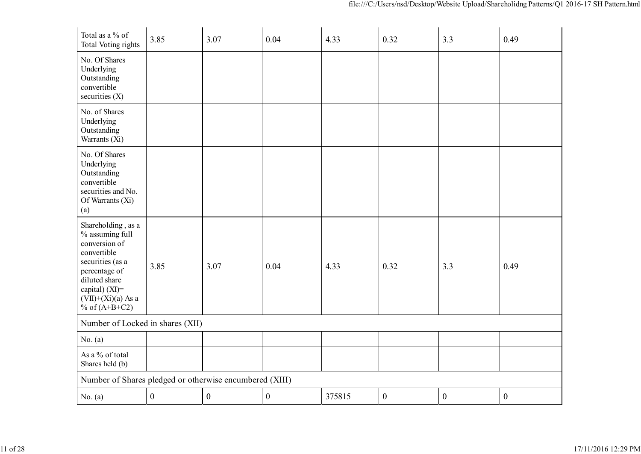| Total as a % of<br><b>Total Voting rights</b>                                                                                                                                            | 3.85             | 3.07             | 0.04             | 4.33   | 0.32             | 3.3              | 0.49             |
|------------------------------------------------------------------------------------------------------------------------------------------------------------------------------------------|------------------|------------------|------------------|--------|------------------|------------------|------------------|
| No. Of Shares<br>Underlying<br>Outstanding<br>convertible<br>securities $(X)$                                                                                                            |                  |                  |                  |        |                  |                  |                  |
| No. of Shares<br>Underlying<br>Outstanding<br>Warrants (Xi)                                                                                                                              |                  |                  |                  |        |                  |                  |                  |
| No. Of Shares<br>Underlying<br>Outstanding<br>convertible<br>securities and No.<br>Of Warrants (Xi)<br>(a)                                                                               |                  |                  |                  |        |                  |                  |                  |
| Shareholding, as a<br>% assuming full<br>conversion of<br>convertible<br>securities (as a<br>percentage of<br>diluted share<br>capital) (XI)=<br>$(VII)+(Xi)(a)$ As a<br>% of $(A+B+C2)$ | 3.85             | 3.07             | 0.04             | 4.33   | 0.32             | 3.3              | 0.49             |
| Number of Locked in shares (XII)                                                                                                                                                         |                  |                  |                  |        |                  |                  |                  |
| No. (a)                                                                                                                                                                                  |                  |                  |                  |        |                  |                  |                  |
| As a % of total<br>Shares held (b)                                                                                                                                                       |                  |                  |                  |        |                  |                  |                  |
| Number of Shares pledged or otherwise encumbered (XIII)                                                                                                                                  |                  |                  |                  |        |                  |                  |                  |
| No. (a)                                                                                                                                                                                  | $\boldsymbol{0}$ | $\boldsymbol{0}$ | $\boldsymbol{0}$ | 375815 | $\boldsymbol{0}$ | $\boldsymbol{0}$ | $\boldsymbol{0}$ |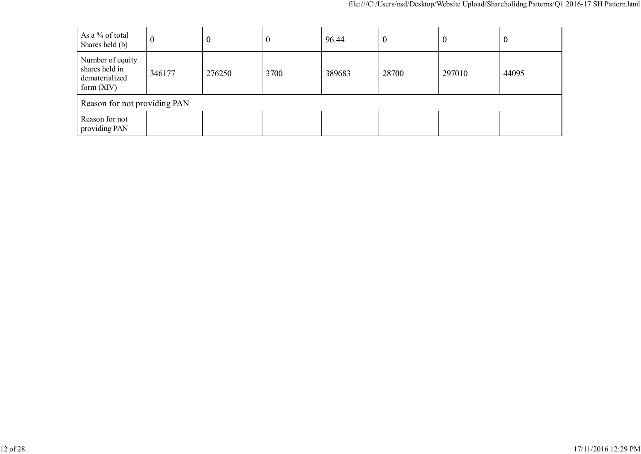| As a % of total<br>Shares held (b)                                   | $\boldsymbol{0}$ | $\boldsymbol{0}$ | $\boldsymbol{0}$ | 96.44  | $\boldsymbol{0}$ | -0     | $\boldsymbol{0}$ |
|----------------------------------------------------------------------|------------------|------------------|------------------|--------|------------------|--------|------------------|
| Number of equity<br>shares held in<br>dematerialized<br>form $(XIV)$ | 346177           | 276250           | 3700             | 389683 | 28700            | 297010 | 44095            |
| Reason for not providing PAN                                         |                  |                  |                  |        |                  |        |                  |
| Reason for not<br>providing PAN                                      |                  |                  |                  |        |                  |        |                  |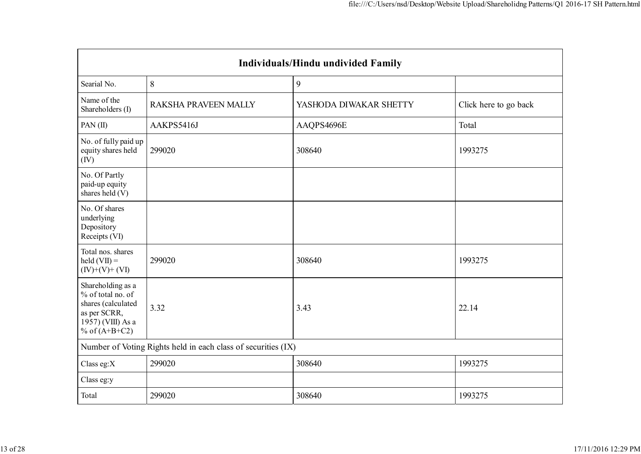| Individuals/Hindu undivided Family                                                                                   |                                                               |                        |                       |  |  |
|----------------------------------------------------------------------------------------------------------------------|---------------------------------------------------------------|------------------------|-----------------------|--|--|
| Searial No.                                                                                                          | 8                                                             | 9                      |                       |  |  |
| Name of the<br>Shareholders (I)                                                                                      | <b>RAKSHA PRAVEEN MALLY</b>                                   | YASHODA DIWAKAR SHETTY | Click here to go back |  |  |
| PAN(II)                                                                                                              | AAKPS5416J                                                    | AAQPS4696E             | Total                 |  |  |
| No. of fully paid up<br>equity shares held<br>(IV)                                                                   | 299020                                                        | 308640                 | 1993275               |  |  |
| No. Of Partly<br>paid-up equity<br>shares held (V)                                                                   |                                                               |                        |                       |  |  |
| No. Of shares<br>underlying<br>Depository<br>Receipts (VI)                                                           |                                                               |                        |                       |  |  |
| Total nos. shares<br>$\text{held}(\text{VII}) =$<br>$(IV)+(V)+(VI)$                                                  | 299020                                                        | 308640                 | 1993275               |  |  |
| Shareholding as a<br>% of total no. of<br>shares (calculated<br>as per SCRR,<br>1957) (VIII) As a<br>% of $(A+B+C2)$ | 3.32                                                          | 3.43                   | 22.14                 |  |  |
|                                                                                                                      | Number of Voting Rights held in each class of securities (IX) |                        |                       |  |  |
| Class eg:X                                                                                                           | 299020                                                        | 308640                 | 1993275               |  |  |
| Class eg:y                                                                                                           |                                                               |                        |                       |  |  |
| Total                                                                                                                | 299020                                                        | 308640                 | 1993275               |  |  |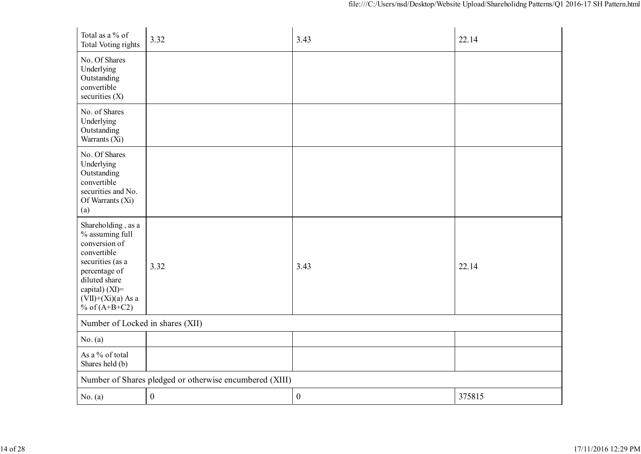| Total as a % of<br>Total Voting rights                                                                                                                                                      | 3.32                                                    | 3.43             | 22.14  |
|---------------------------------------------------------------------------------------------------------------------------------------------------------------------------------------------|---------------------------------------------------------|------------------|--------|
| No. Of Shares<br>Underlying<br>Outstanding<br>convertible<br>securities $(X)$                                                                                                               |                                                         |                  |        |
| No. of Shares<br>Underlying<br>Outstanding<br>Warrants (Xi)                                                                                                                                 |                                                         |                  |        |
| No. Of Shares<br>Underlying<br>Outstanding<br>convertible<br>securities and No.<br>Of Warrants (Xi)<br>(a)                                                                                  |                                                         |                  |        |
| Shareholding, as a<br>% assuming full<br>conversion of<br>convertible<br>securities (as a<br>percentage of<br>diluted share<br>capital) $(XI)$ =<br>$(VII)+(Xi)(a)$ As a<br>% of $(A+B+C2)$ | 3.32                                                    | 3.43             | 22.14  |
| Number of Locked in shares (XII)                                                                                                                                                            |                                                         |                  |        |
| No. (a)                                                                                                                                                                                     |                                                         |                  |        |
| As a % of total<br>Shares held (b)                                                                                                                                                          |                                                         |                  |        |
|                                                                                                                                                                                             | Number of Shares pledged or otherwise encumbered (XIII) |                  |        |
| No. (a)                                                                                                                                                                                     | $\boldsymbol{0}$                                        | $\boldsymbol{0}$ | 375815 |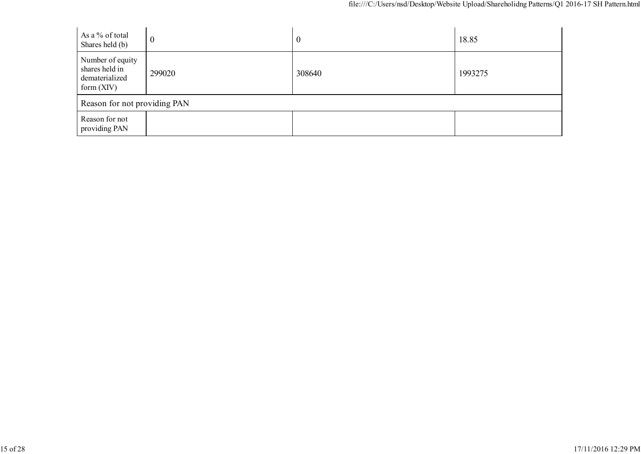| As a % of total<br>Shares held (b)                                   | $\boldsymbol{0}$ | $\boldsymbol{0}$ | 18.85   |
|----------------------------------------------------------------------|------------------|------------------|---------|
| Number of equity<br>shares held in<br>dematerialized<br>form $(XIV)$ | 299020           | 308640           | 1993275 |
| Reason for not providing PAN                                         |                  |                  |         |
| Reason for not<br>providing PAN                                      |                  |                  |         |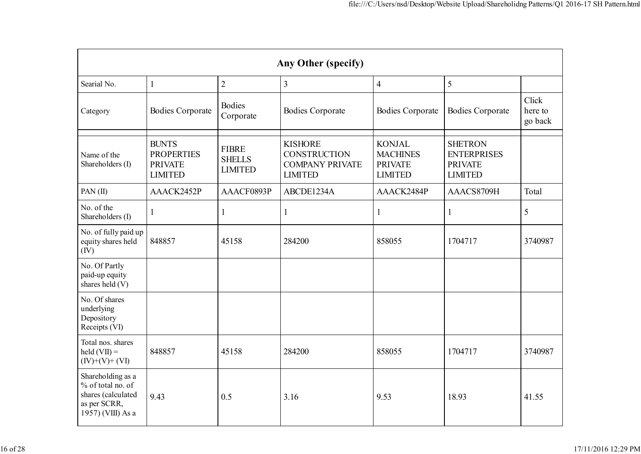| Any Other (specify)                                                                               |                                                                       |                                                 |                                                                                   |                                                                      |                                                                          |                             |
|---------------------------------------------------------------------------------------------------|-----------------------------------------------------------------------|-------------------------------------------------|-----------------------------------------------------------------------------------|----------------------------------------------------------------------|--------------------------------------------------------------------------|-----------------------------|
| Searial No.                                                                                       | $\mathbf{1}$                                                          | $\overline{2}$                                  | $\overline{3}$                                                                    | $\overline{4}$                                                       | 5                                                                        |                             |
| Category                                                                                          | <b>Bodies Corporate</b>                                               | <b>Bodies</b><br>Corporate                      | <b>Bodies Corporate</b>                                                           | <b>Bodies Corporate</b>                                              | <b>Bodies Corporate</b>                                                  | Click<br>here to<br>go back |
| Name of the<br>Shareholders (I)                                                                   | <b>BUNTS</b><br><b>PROPERTIES</b><br><b>PRIVATE</b><br><b>LIMITED</b> | <b>FIBRE</b><br><b>SHELLS</b><br><b>LIMITED</b> | <b>KISHORE</b><br><b>CONSTRUCTION</b><br><b>COMPANY PRIVATE</b><br><b>LIMITED</b> | <b>KONJAL</b><br><b>MACHINES</b><br><b>PRIVATE</b><br><b>LIMITED</b> | <b>SHETRON</b><br><b>ENTERPRISES</b><br><b>PRIVATE</b><br><b>LIMITED</b> |                             |
| PAN $(II)$                                                                                        | AAACK2452P                                                            | AAACF0893P                                      | ABCDE1234A                                                                        | AAACK2484P                                                           | AAACS8709H                                                               | Total                       |
| No. of the<br>Shareholders (I)                                                                    | 1                                                                     | $\mathbf{1}$                                    | $\mathbf{1}$                                                                      | $\mathbf{1}$                                                         | 1                                                                        | 5                           |
| No. of fully paid up<br>equity shares held<br>(IV)                                                | 848857                                                                | 45158                                           | 284200                                                                            | 858055                                                               | 1704717                                                                  | 3740987                     |
| No. Of Partly<br>paid-up equity<br>shares held (V)                                                |                                                                       |                                                 |                                                                                   |                                                                      |                                                                          |                             |
| No. Of shares<br>underlying<br>Depository<br>Receipts (VI)                                        |                                                                       |                                                 |                                                                                   |                                                                      |                                                                          |                             |
| Total nos. shares<br>$\text{held}(\text{VII}) =$<br>$(IV)+(V)+(VI)$                               | 848857                                                                | 45158                                           | 284200                                                                            | 858055                                                               | 1704717                                                                  | 3740987                     |
| Shareholding as a<br>% of total no. of<br>shares (calculated<br>as per SCRR,<br>1957) (VIII) As a | 9.43                                                                  | 0.5                                             | 3.16                                                                              | 9.53                                                                 | 18.93                                                                    | 41.55                       |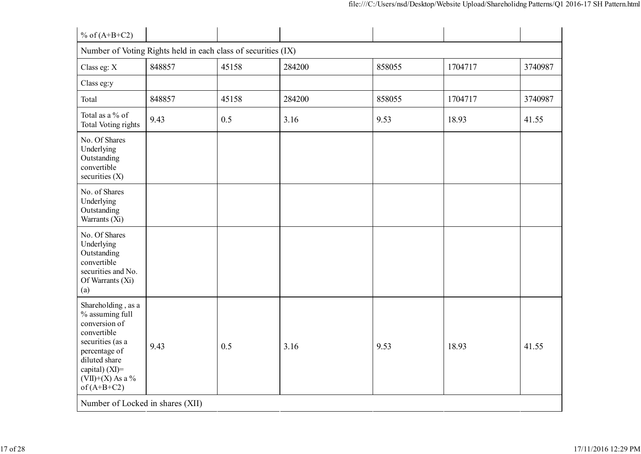| % of $(A+B+C2)$                                                                                                                                                                         |                                                               |       |        |        |         |         |
|-----------------------------------------------------------------------------------------------------------------------------------------------------------------------------------------|---------------------------------------------------------------|-------|--------|--------|---------|---------|
|                                                                                                                                                                                         | Number of Voting Rights held in each class of securities (IX) |       |        |        |         |         |
| Class eg: X                                                                                                                                                                             | 848857                                                        | 45158 | 284200 | 858055 | 1704717 | 3740987 |
| Class eg:y                                                                                                                                                                              |                                                               |       |        |        |         |         |
| Total                                                                                                                                                                                   | 848857                                                        | 45158 | 284200 | 858055 | 1704717 | 3740987 |
| Total as a % of<br>Total Voting rights                                                                                                                                                  | 9.43                                                          | 0.5   | 3.16   | 9.53   | 18.93   | 41.55   |
| No. Of Shares<br>Underlying<br>Outstanding<br>convertible<br>securities $(X)$                                                                                                           |                                                               |       |        |        |         |         |
| No. of Shares<br>Underlying<br>Outstanding<br>Warrants (Xi)                                                                                                                             |                                                               |       |        |        |         |         |
| No. Of Shares<br>Underlying<br>Outstanding<br>convertible<br>securities and No.<br>Of Warrants (Xi)<br>(a)                                                                              |                                                               |       |        |        |         |         |
| Shareholding, as a<br>% assuming full<br>conversion of<br>convertible<br>securities (as a<br>percentage of<br>diluted share<br>capital) $(XI)$ =<br>$(VII)+(X)$ As a %<br>of $(A+B+C2)$ | 9.43                                                          | 0.5   | 3.16   | 9.53   | 18.93   | 41.55   |
| Number of Locked in shares (XII)                                                                                                                                                        |                                                               |       |        |        |         |         |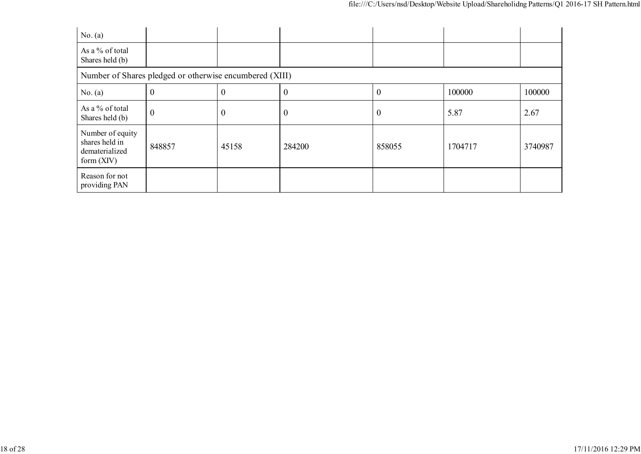| No. (a)                                                              |                                                         |                  |                  |                  |         |         |  |
|----------------------------------------------------------------------|---------------------------------------------------------|------------------|------------------|------------------|---------|---------|--|
| As a % of total<br>Shares held (b)                                   |                                                         |                  |                  |                  |         |         |  |
|                                                                      | Number of Shares pledged or otherwise encumbered (XIII) |                  |                  |                  |         |         |  |
| No. (a)                                                              | $\Omega$                                                | $\boldsymbol{0}$ | $\boldsymbol{0}$ | $\boldsymbol{0}$ | 100000  | 100000  |  |
| As a % of total<br>Shares held (b)                                   | $\boldsymbol{0}$                                        | $\boldsymbol{0}$ | $\theta$         | $\boldsymbol{0}$ | 5.87    | 2.67    |  |
| Number of equity<br>shares held in<br>dematerialized<br>form $(XIV)$ | 848857                                                  | 45158            | 284200           | 858055           | 1704717 | 3740987 |  |
| Reason for not<br>providing PAN                                      |                                                         |                  |                  |                  |         |         |  |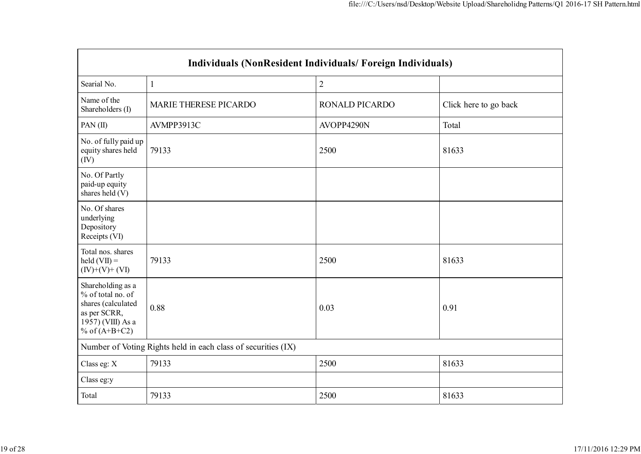| Individuals (NonResident Individuals/Foreign Individuals)                                                            |                                                               |                       |                       |  |  |
|----------------------------------------------------------------------------------------------------------------------|---------------------------------------------------------------|-----------------------|-----------------------|--|--|
| Searial No.                                                                                                          | 1                                                             | $\overline{2}$        |                       |  |  |
| Name of the<br>Shareholders (I)                                                                                      | MARIE THERESE PICARDO                                         | <b>RONALD PICARDO</b> | Click here to go back |  |  |
| PAN(II)                                                                                                              | AVMPP3913C                                                    | AVOPP4290N            | Total                 |  |  |
| No. of fully paid up<br>equity shares held<br>(IV)                                                                   | 79133                                                         | 2500                  | 81633                 |  |  |
| No. Of Partly<br>paid-up equity<br>shares held (V)                                                                   |                                                               |                       |                       |  |  |
| No. Of shares<br>underlying<br>Depository<br>Receipts (VI)                                                           |                                                               |                       |                       |  |  |
| Total nos. shares<br>held $(VII) =$<br>$(IV)+(V)+(VI)$                                                               | 79133                                                         | 2500                  | 81633                 |  |  |
| Shareholding as a<br>% of total no. of<br>shares (calculated<br>as per SCRR,<br>1957) (VIII) As a<br>% of $(A+B+C2)$ | 0.88                                                          | 0.03                  | 0.91                  |  |  |
|                                                                                                                      | Number of Voting Rights held in each class of securities (IX) |                       |                       |  |  |
| Class eg: X                                                                                                          | 79133                                                         | 2500                  | 81633                 |  |  |
| Class eg:y                                                                                                           |                                                               |                       |                       |  |  |
| Total                                                                                                                | 79133                                                         | 2500                  | 81633                 |  |  |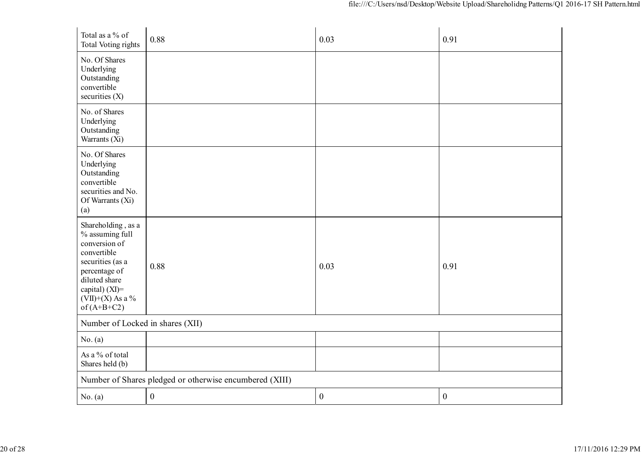| Total as a % of<br>Total Voting rights                                                                                                                                               | 0.88                                                    | 0.03             | 0.91             |
|--------------------------------------------------------------------------------------------------------------------------------------------------------------------------------------|---------------------------------------------------------|------------------|------------------|
| No. Of Shares<br>Underlying<br>Outstanding<br>convertible<br>securities $(X)$                                                                                                        |                                                         |                  |                  |
| No. of Shares<br>Underlying<br>Outstanding<br>Warrants (Xi)                                                                                                                          |                                                         |                  |                  |
| No. Of Shares<br>Underlying<br>Outstanding<br>convertible<br>securities and No.<br>Of Warrants (Xi)<br>(a)                                                                           |                                                         |                  |                  |
| Shareholding, as a<br>% assuming full<br>conversion of<br>convertible<br>securities (as a<br>percentage of<br>diluted share<br>capital) (XI)=<br>$(VII)+(X)$ As a %<br>of $(A+B+C2)$ | 0.88                                                    | 0.03             | 0.91             |
| Number of Locked in shares (XII)                                                                                                                                                     |                                                         |                  |                  |
| No. (a)                                                                                                                                                                              |                                                         |                  |                  |
| As a % of total<br>Shares held (b)                                                                                                                                                   |                                                         |                  |                  |
|                                                                                                                                                                                      | Number of Shares pledged or otherwise encumbered (XIII) |                  |                  |
| No. (a)                                                                                                                                                                              | $\boldsymbol{0}$                                        | $\boldsymbol{0}$ | $\boldsymbol{0}$ |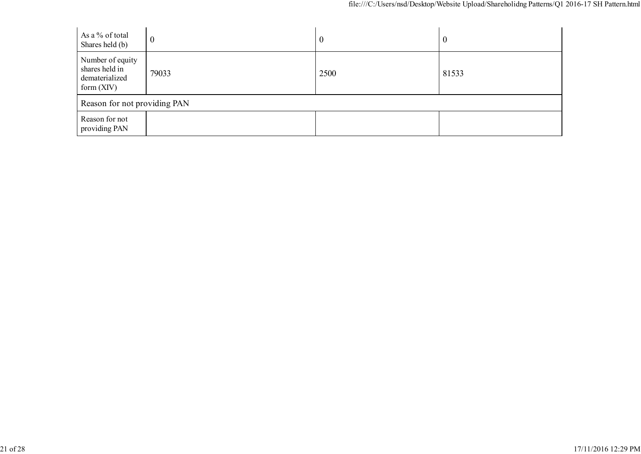| As a % of total<br>Shares held (b)                                   | $\boldsymbol{0}$ | $\boldsymbol{0}$ | $\bf{0}$ |
|----------------------------------------------------------------------|------------------|------------------|----------|
| Number of equity<br>shares held in<br>dematerialized<br>form $(XIV)$ | 79033            | 2500             | 81533    |
| Reason for not providing PAN                                         |                  |                  |          |
| Reason for not<br>providing PAN                                      |                  |                  |          |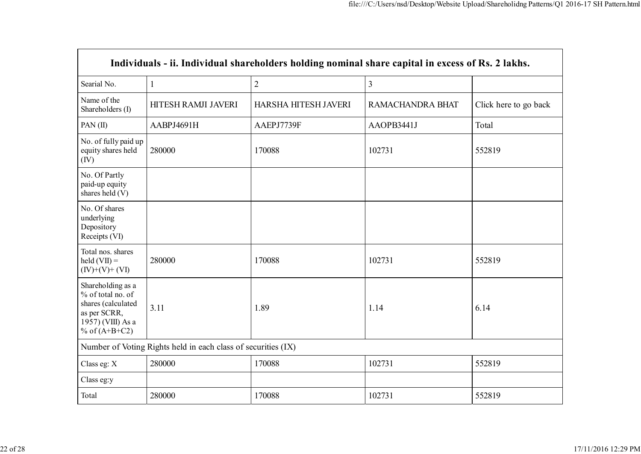| Individuals - ii. Individual shareholders holding nominal share capital in excess of Rs. 2 lakhs.                    |                                                               |                      |                         |                       |  |
|----------------------------------------------------------------------------------------------------------------------|---------------------------------------------------------------|----------------------|-------------------------|-----------------------|--|
| Searial No.                                                                                                          | $\mathbf{1}$                                                  | $\overline{2}$       | $\overline{\mathbf{3}}$ |                       |  |
| Name of the<br>Shareholders (I)                                                                                      | HITESH RAMJI JAVERI                                           | HARSHA HITESH JAVERI | RAMACHANDRA BHAT        | Click here to go back |  |
| PAN $(II)$                                                                                                           | AABPJ4691H                                                    | AAEPJ7739F           | AAOPB3441J              | Total                 |  |
| No. of fully paid up<br>equity shares held<br>(IV)                                                                   | 280000                                                        | 170088               | 102731                  | 552819                |  |
| No. Of Partly<br>paid-up equity<br>shares held (V)                                                                   |                                                               |                      |                         |                       |  |
| No. Of shares<br>underlying<br>Depository<br>Receipts (VI)                                                           |                                                               |                      |                         |                       |  |
| Total nos. shares<br>held $(VII) =$<br>$(IV)+(V)+(VI)$                                                               | 280000                                                        | 170088               | 102731                  | 552819                |  |
| Shareholding as a<br>% of total no. of<br>shares (calculated<br>as per SCRR,<br>1957) (VIII) As a<br>% of $(A+B+C2)$ | 3.11                                                          | 1.89                 | 1.14                    | 6.14                  |  |
|                                                                                                                      | Number of Voting Rights held in each class of securities (IX) |                      |                         |                       |  |
| Class eg: X                                                                                                          | 280000                                                        | 170088               | 102731                  | 552819                |  |
| Class eg:y                                                                                                           |                                                               |                      |                         |                       |  |
| Total                                                                                                                | 280000                                                        | 170088               | 102731                  | 552819                |  |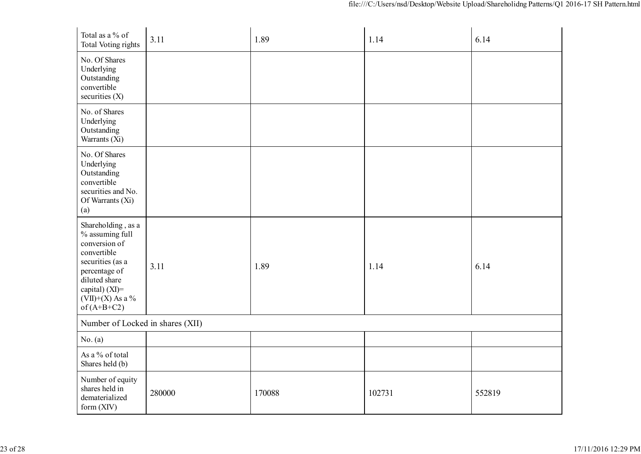| Total as a % of<br><b>Total Voting rights</b>                                                                                                                                        | 3.11   | 1.89   | 1.14   | 6.14   |
|--------------------------------------------------------------------------------------------------------------------------------------------------------------------------------------|--------|--------|--------|--------|
| No. Of Shares<br>Underlying<br>Outstanding<br>convertible<br>securities $(X)$                                                                                                        |        |        |        |        |
| No. of Shares<br>Underlying<br>Outstanding<br>Warrants (Xi)                                                                                                                          |        |        |        |        |
| No. Of Shares<br>Underlying<br>Outstanding<br>convertible<br>securities and No.<br>Of Warrants (Xi)<br>(a)                                                                           |        |        |        |        |
| Shareholding, as a<br>% assuming full<br>conversion of<br>convertible<br>securities (as a<br>percentage of<br>diluted share<br>capital) (XI)=<br>$(VII)+(X)$ As a %<br>of $(A+B+C2)$ | 3.11   | 1.89   | 1.14   | 6.14   |
| Number of Locked in shares (XII)                                                                                                                                                     |        |        |        |        |
| No. (a)                                                                                                                                                                              |        |        |        |        |
| As a % of total<br>Shares held (b)                                                                                                                                                   |        |        |        |        |
| Number of equity<br>shares held in<br>dematerialized<br>form $(XIV)$                                                                                                                 | 280000 | 170088 | 102731 | 552819 |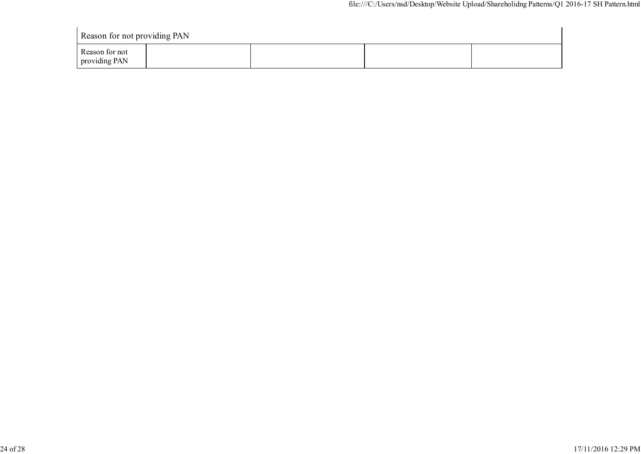| Reason for not providing PAN    |  |  |  |  |
|---------------------------------|--|--|--|--|
| Reason for not<br>providing PAN |  |  |  |  |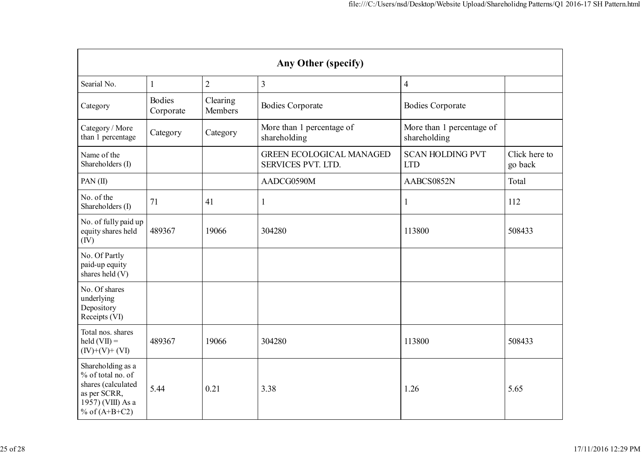| Any Other (specify)                                                                                                  |                            |                     |                                                       |                                           |                          |  |  |
|----------------------------------------------------------------------------------------------------------------------|----------------------------|---------------------|-------------------------------------------------------|-------------------------------------------|--------------------------|--|--|
| Searial No.                                                                                                          | $\mathbf{1}$               | $\overline{2}$      | $\overline{3}$                                        | $\overline{4}$                            |                          |  |  |
| Category                                                                                                             | <b>Bodies</b><br>Corporate | Clearing<br>Members | <b>Bodies Corporate</b>                               | <b>Bodies Corporate</b>                   |                          |  |  |
| Category / More<br>than 1 percentage                                                                                 | Category                   | Category            | More than 1 percentage of<br>shareholding             | More than 1 percentage of<br>shareholding |                          |  |  |
| Name of the<br>Shareholders (I)                                                                                      |                            |                     | <b>GREEN ECOLOGICAL MANAGED</b><br>SERVICES PVT. LTD. | <b>SCAN HOLDING PVT</b><br><b>LTD</b>     | Click here to<br>go back |  |  |
| PAN $(II)$                                                                                                           |                            |                     | AADCG0590M                                            | AABCS0852N                                | Total                    |  |  |
| No. of the<br>Shareholders (I)                                                                                       | 71                         | 41                  | $\mathbf{1}$                                          | $\mathbf{1}$                              | 112                      |  |  |
| No. of fully paid up<br>equity shares held<br>(IV)                                                                   | 489367                     | 19066               | 304280                                                | 113800                                    | 508433                   |  |  |
| No. Of Partly<br>paid-up equity<br>shares held (V)                                                                   |                            |                     |                                                       |                                           |                          |  |  |
| No. Of shares<br>underlying<br>Depository<br>Receipts (VI)                                                           |                            |                     |                                                       |                                           |                          |  |  |
| Total nos. shares<br>$\text{held}(\text{VII}) =$<br>$(IV)+(V)+(VI)$                                                  | 489367                     | 19066               | 304280                                                | 113800                                    | 508433                   |  |  |
| Shareholding as a<br>% of total no. of<br>shares (calculated<br>as per SCRR,<br>1957) (VIII) As a<br>% of $(A+B+C2)$ | 5.44                       | 0.21                | 3.38                                                  | 1.26                                      | 5.65                     |  |  |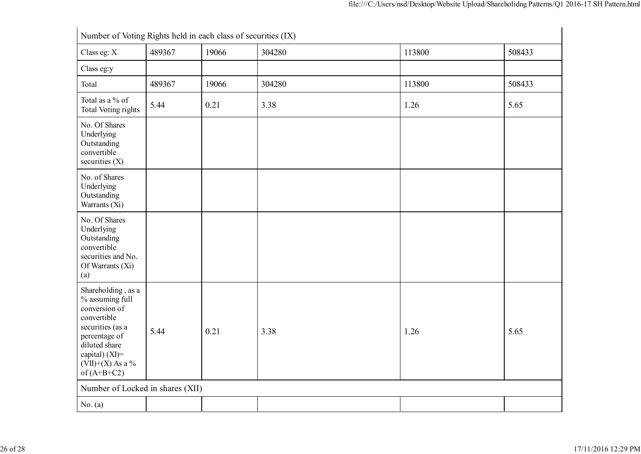| Number of Voting Rights held in each class of securities (IX)                                                                                                                           |        |       |        |        |        |
|-----------------------------------------------------------------------------------------------------------------------------------------------------------------------------------------|--------|-------|--------|--------|--------|
| Class eg: X                                                                                                                                                                             | 489367 | 19066 | 304280 | 113800 | 508433 |
| Class eg:y                                                                                                                                                                              |        |       |        |        |        |
| Total                                                                                                                                                                                   | 489367 | 19066 | 304280 | 113800 | 508433 |
| Total as a % of<br>Total Voting rights                                                                                                                                                  | 5.44   | 0.21  | 3.38   | 1.26   | 5.65   |
| No. Of Shares<br>Underlying<br>Outstanding<br>convertible<br>securities $(X)$                                                                                                           |        |       |        |        |        |
| No. of Shares<br>Underlying<br>Outstanding<br>Warrants (Xi)                                                                                                                             |        |       |        |        |        |
| No. Of Shares<br>Underlying<br>Outstanding<br>convertible<br>securities and No.<br>Of Warrants (Xi)<br>(a)                                                                              |        |       |        |        |        |
| Shareholding, as a<br>% assuming full<br>conversion of<br>convertible<br>securities (as a<br>percentage of<br>diluted share<br>capital) $(XI)$ =<br>$(VII)+(X)$ As a %<br>of $(A+B+C2)$ | 5.44   | 0.21  | 3.38   | 1.26   | 5.65   |
| Number of Locked in shares (XII)                                                                                                                                                        |        |       |        |        |        |
| No. (a)                                                                                                                                                                                 |        |       |        |        |        |